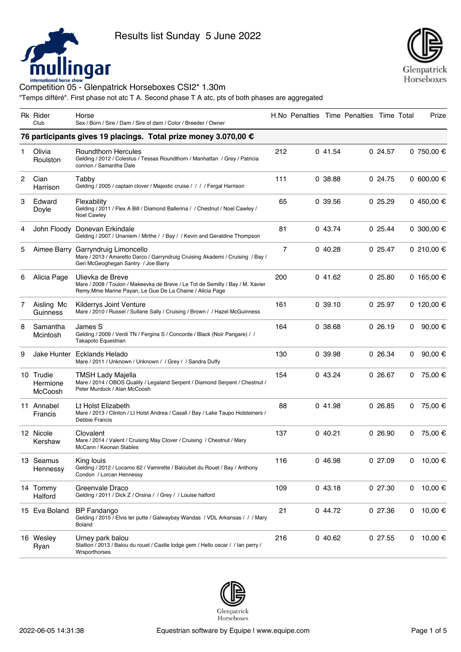



|   | Rk Rider<br>Club                 | Horse<br>Sex / Born / Sire / Dam / Sire of dam / Color / Breeder / Owner                                                                                        |     |         | H.No Penalties Time Penalties Time Total |         |   | Prize            |
|---|----------------------------------|-----------------------------------------------------------------------------------------------------------------------------------------------------------------|-----|---------|------------------------------------------|---------|---|------------------|
|   |                                  | 76 participants gives 19 placings. Total prize money 3.070,00 €                                                                                                 |     |         |                                          |         |   |                  |
| 1 | Olivia<br>Roulston               | <b>Roundthorn Hercules</b><br>Gelding / 2012 / Colestus / Tessas Roundthorn / Manhattan / Grey / Patricia<br>connon / Samantha Dale                             | 212 | 041.54  |                                          | 0.24.57 |   | 0 750,00 €       |
| 2 | Cian<br>Harrison                 | Tabby<br>Gelding / 2005 / captain clover / Majestic cruise / / / / Fergal Harrison                                                                              | 111 | 0.38.88 |                                          | 0 24.75 |   | 0 600,00 €       |
| 3 | Edward<br>Doyle                  | Flexability<br>Gelding / 2011 / Flex A Bill / Diamond Ballerina / / Chestnut / Noel Cawley /<br><b>Noel Cawley</b>                                              | 65  | 0.39.56 |                                          | 025.29  |   | 0 450,00 €       |
| 4 |                                  | John Floody Donevan Erkindale<br>Gelding / 2007 / Unaniem / Mirthe / / Bay / / Kevin and Geraldine Thompson                                                     | 81  | 043.74  |                                          | 0.25.44 |   | 0 300,00 €       |
| 5 |                                  | Aimee Barry Garryndruig Limoncello<br>Mare / 2013 / Amaretto Darco / Garryndruig Cruising Akademi / Cruising / Bay /<br>Geri McGeoghegan Santry / Joe Barry     | 7   | 040.28  |                                          | 025.47  |   | 0 210,00 €       |
| 6 | Alicia Page                      | Ulievka de Breve<br>Mare / 2008 / Toulon / Makeevka de Breve / Le Tot de Semilly / Bay / M. Xavier<br>Remy, Mme Marine Payan, Le Gue De La Chaine / Alicia Page | 200 | 041.62  |                                          | 025.80  |   | 0 165,00 €       |
| 7 | Aisling Mc<br>Guinness           | Kilderrys Joint Venture<br>Mare / 2010 / Russel / Sullane Sally / Cruising / Brown / / Hazel McGuinness                                                         | 161 | 0.39.10 |                                          | 025.97  |   | 0 120,00 €       |
| 8 | Samantha<br>Mcintosh             | James S<br>Gelding / 2009 / Verdi TN / Fergina S / Concorde / Black (Noir Pangare) / /<br>Takapoto Equestrian                                                   | 164 | 0.38.68 |                                          | 0.26.19 | 0 | 90,00 €          |
| 9 |                                  | Jake Hunter Ecklands Helado<br>Mare / 2011 / Unknown / Unknown / / Grey / / Sandra Duffy                                                                        | 130 | 0 39.98 |                                          | 0 26.34 | 0 | 90,00 $\epsilon$ |
|   | 10 Trudie<br>Hermione<br>McCoosh | <b>TMSH Lady Majella</b><br>Mare / 2014 / OBOS Quality / Legaland Serpent / Diamond Serpent / Chestnut /<br>Peter Murdock / Alan McCoosh                        | 154 | 043.24  |                                          | 026.67  | 0 | 75,00 €          |
|   | 11 Annabel<br><b>Francis</b>     | Lt Holst Elizabeth<br>Mare / 2013 / Clinton / Lt Holst Andrea / Casall / Bay / Lake Taupo Holsteiners /<br>Debbie Francis                                       | 88  | 041.98  |                                          | 026.85  | 0 | 75,00 €          |
|   | 12 Nicole<br>Kershaw             | Clovalent<br>Mare / 2014 / Valent / Cruising May Clover / Cruising / Chestnut / Mary<br>McCann / Keonan Stables                                                 | 137 | 040.21  |                                          | 026.90  | 0 | 75,00 €          |
|   | 13 Seamus<br>Hennessy            | King louis<br>Gelding / 2012 / Locarno 62 / Vamirette / Baloubet du Rouet / Bay / Anthony<br>Condon / Lorcan Hennessy                                           | 116 | 046.98  |                                          | 027.09  | 0 | 10,00 €          |
|   | 14 Tommy<br>Halford              | Greenvale Draco<br>Gelding / 2011 / Dick Z / Orsina / / Grey / / Louise halford                                                                                 | 109 | 043.18  |                                          | 027.30  | 0 | 10,00 €          |
|   | 15 Eva Boland                    | <b>BP</b> Fandango<br>Gelding / 2015 / Elvis ter putte / Galwaybay Wandas / VDL Arkansas / / / Mary<br><b>Boland</b>                                            | 21  | 044.72  |                                          | 027.36  | 0 | 10,00 €          |
|   | 16 Wesley<br>Ryan                | Urney park balou<br>Stallion / 2013 / Balou du rouet / Castle lodge gem / Hello oscar / / lan perry /<br>Wrsporthorses                                          | 216 | 040.62  |                                          | 027.55  | 0 | 10,00 €          |

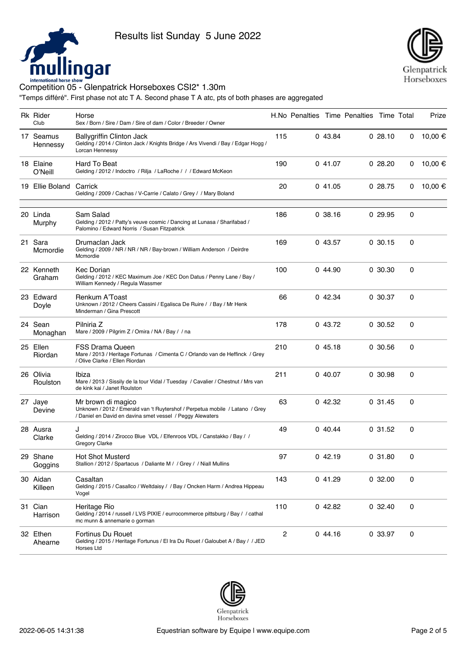



| Rk Rider<br>Club      | Horse<br>Sex / Born / Sire / Dam / Sire of dam / Color / Breeder / Owner                                                                                        |              |         | H.No Penalties Time Penalties Time Total |         |   | Prize   |
|-----------------------|-----------------------------------------------------------------------------------------------------------------------------------------------------------------|--------------|---------|------------------------------------------|---------|---|---------|
| 17 Seamus<br>Hennessy | <b>Ballygriffin Clinton Jack</b><br>Gelding / 2014 / Clinton Jack / Knights Bridge / Ars Vivendi / Bay / Edgar Hogg /<br>Lorcan Hennessy                        | 115          | 0 43.84 |                                          | 028.10  | 0 | 10,00 € |
| 18 Elaine<br>O'Neill  | Hard To Beat<br>Gelding / 2012 / Indoctro / Rilja / LaRoche / / / Edward McKeon                                                                                 | 190          | 041.07  |                                          | 028.20  | 0 | 10,00 € |
| 19 Ellie Boland       | Carrick<br>Gelding / 2009 / Cachas / V-Carrie / Calato / Grey / / Mary Boland                                                                                   | 20           | 041.05  |                                          | 0.28.75 | 0 | 10,00 € |
| 20 Linda<br>Murphy    | Sam Salad<br>Gelding / 2012 / Patty's veuve cosmic / Dancing at Lunasa / Sharifabad /<br>Palomino / Edward Norris / Susan Fitzpatrick                           | 186          | 0.38.16 |                                          | 029.95  | 0 |         |
| 21 Sara<br>Mcmordie   | Drumaclan Jack<br>Gelding / 2009 / NR / NR / NR / Bay-brown / William Anderson / Deirdre<br>Mcmordie                                                            | 169          | 0 43.57 |                                          | 0.30.15 | 0 |         |
| 22 Kenneth<br>Graham  | <b>Kec Dorian</b><br>Gelding / 2012 / KEC Maximum Joe / KEC Don Datus / Penny Lane / Bay /<br>William Kennedy / Regula Wassmer                                  | 100          | 044.90  |                                          | 0.30.30 | 0 |         |
| 23 Edward<br>Doyle    | Renkum A'Toast<br>Unknown / 2012 / Cheers Cassini / Egalisca De Ruire / / Bay / Mr Henk<br>Minderman / Gina Prescott                                            | 66           | 042.34  |                                          | 0.30.37 | 0 |         |
| 24 Sean<br>Monaghan   | Pilniria Z<br>Mare / 2009 / Pilgrim Z / Omira / NA / Bay / / na                                                                                                 | 178          | 043.72  |                                          | 0.30.52 | 0 |         |
| 25 Ellen<br>Riordan   | <b>FSS Drama Queen</b><br>Mare / 2013 / Heritage Fortunas / Cimenta C / Orlando van de Heffinck / Grey<br>/ Olive Clarke / Ellen Riordan                        | 210          | 045.18  |                                          | 0.30.56 | 0 |         |
| 26 Olivia<br>Roulston | Ibiza<br>Mare / 2013 / Sissily de la tour Vidal / Tuesday / Cavalier / Chestnut / Mrs van<br>de kink kai / Janet Roulston                                       | 211          | 040.07  |                                          | 0 30.98 | 0 |         |
| 27 Jaye<br>Devine     | Mr brown di magico<br>Unknown / 2012 / Emerald van 't Ruytershof / Perpetua mobile / Latano / Grey<br>/ Daniel en David en davina smet vessel / Peggy Alewaters | 63           | 042.32  |                                          | 0.31.45 | 0 |         |
| 28 Ausra<br>Clarke    | J<br>Gelding / 2014 / Zirocco Blue VDL / Elfenroos VDL / Canstakko / Bay / /<br><b>Gregory Clarke</b>                                                           | 49           | 040.44  |                                          | 0.31.52 | 0 |         |
| 29 Shane<br>Goggins   | Hot Shot Musterd<br>Stallion / 2012 / Spartacus / Daliante M / / Grey / / Niall Mullins                                                                         | 97           | 042.19  |                                          | 031.80  | 0 |         |
| 30 Aidan<br>Killeen   | Casaltan<br>Gelding / 2015 / Casallco / Weltdaisy / / Bay / Oncken Harm / Andrea Hippeau<br>Vogel                                                               | 143          | 041.29  |                                          | 0.32.00 | 0 |         |
| 31 Cian<br>Harrison   | Heritage Rio<br>Gelding / 2014 / russell / LVS PIXIE / eurrocommerce pittsburg / Bay / / cathal<br>mc munn & annemarie o gorman                                 | 110          | 042.82  |                                          | 0.32.40 | 0 |         |
| 32 Ethen<br>Ahearne   | Fortinus Du Rouet<br>Gelding / 2015 / Heritage Fortunus / El Ira Du Rouet / Galoubet A / Bay / / JED<br>Horses Ltd                                              | $\mathbf{2}$ | 044.16  |                                          | 0 33.97 | 0 |         |

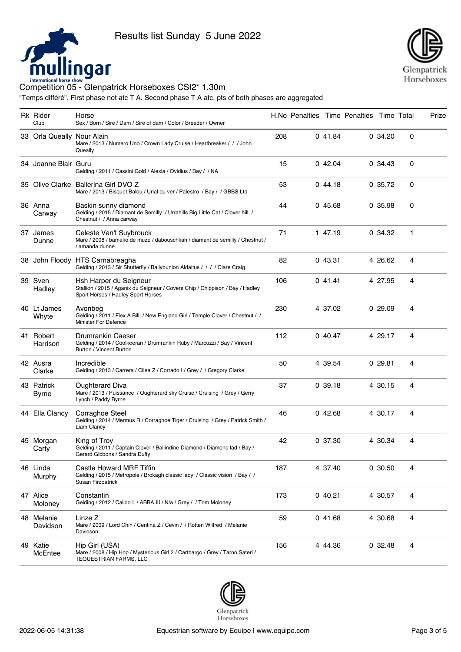



| Rk Rider<br>Club           | Horse<br>Sex / Born / Sire / Dam / Sire of dam / Color / Breeder / Owner                                                                      |     |         | H.No Penalties Time Penalties Time Total |         |   | Prize |
|----------------------------|-----------------------------------------------------------------------------------------------------------------------------------------------|-----|---------|------------------------------------------|---------|---|-------|
| 33 Orla Queally Nour Alain | Mare / 2013 / Numero Uno / Crown Lady Cruise / Heartbreaker / / / John<br>Queally                                                             | 208 | 041.84  |                                          | 0.34.20 | 0 |       |
| 34 Joanne Blair Guru       | Gelding / 2011 / Cassini Gold / Alexia / Ovidius / Bay / / NA                                                                                 | 15  | 042.04  |                                          | 0.34.43 | 0 |       |
|                            | 35 Olive Clarke Ballerina Girl DVO Z<br>Mare / 2013 / Bisquet Balou / Urial du ver / Palestro / Bay / / GBBS Ltd                              | 53  | 044.18  |                                          | 0.35.72 | 0 |       |
| 36 Anna<br>Carway          | Baskin sunny diamond<br>Gelding / 2015 / Diamant de Semilly / Urrahills Big Little Cat / Clover hill /<br>Chestnut / / Anna carway            | 44  | 045.68  |                                          | 0 35.98 | 0 |       |
| 37 James<br>Dunne          | Celeste Van't Suybrouck<br>Mare / 2008 / bamako de muze / dabouschkah / diamant de semilly / Chestnut /<br>/ amanda dunne                     | 71  | 1 47.19 |                                          | 0.34.32 | 1 |       |
|                            | 38 John Floody HTS Carnabreagha<br>Gelding / 2013 / Sir Shutterfly / Ballybunion Aldaltus / / / / Clare Craig                                 | 82  | 043.31  |                                          | 4 26.62 | 4 |       |
| 39 Sven<br>Hadley          | Hsh Harper du Seigneur<br>Stallion / 2015 / Aganix du Seigneur / Covers Chip / Chippison / Bay / Hadley<br>Sport Horses / Hadley Sport Horses | 106 | 041.41  |                                          | 4 27.95 | 4 |       |
| 40 Lt James<br>Whyte       | Avonbeg<br>Gelding / 2011 / Flex A Bill / New England Girl / Temple Clover / Chestnut / /<br><b>Minister For Defence</b>                      | 230 | 4 37.02 |                                          | 0.29.09 | 4 |       |
| 41 Robert<br>Harrison      | Drumrankin Caeser<br>Gelding / 2014 / Coolkeeran / Drumrankin Ruby / Marcuzzi / Bay / Vincent<br>Burton / Vincent Burton                      | 112 | 0 40.47 |                                          | 4 29.17 | 4 |       |
| 42 Ausra<br>Clarke         | Incredible<br>Gelding / 2013 / Carrera / Cilea Z / Corrado I / Grey / / Gregory Clarke                                                        | 50  | 4 39.54 |                                          | 029.81  | 4 |       |
| 43 Patrick<br><b>Byrne</b> | <b>Oughterard Diva</b><br>Mare / 2013 / Puissance / Oughterard sky Cruise / Cruising / Grey / Gerry<br>Lynch / Paddy Byrne                    | 37  | 0.39.18 |                                          | 4 30.15 | 4 |       |
| 44 Ella Clancy             | Corraghoe Steel<br>Gelding / 2014 / Mermus R / Corraghoe Tiger / Cruising / Grey / Patrick Smith /<br>Liam Clancy                             | 46  | 042.68  |                                          | 4 30.17 | 4 |       |
| 45 Morgan<br>Carty         | King of Troy<br>Gelding / 2011 / Captain Clover / Ballindine Diamond / Diamond lad / Bay /<br>Gerard Gibbons / Sandra Duffy                   | 42  | 0 37.30 |                                          | 4 30.34 | 4 |       |
| 46 Linda<br>Murphy         | Castle Howard MRF Tiffin<br>Gelding / 2015 / Metropole / Brokagh classic lady / Classic vision / Bay / /<br>Susan Firzpatrick                 | 187 | 4 37.40 |                                          | 0.30.50 | 4 |       |
| 47 Alice<br>Moloney        | Constantin<br>Gelding / 2012 / Calido I / ABBA III / N/a / Grey / / Tom Moloney                                                               | 173 | 040.21  |                                          | 4 30.57 | 4 |       |
| 48 Melanie<br>Davidson     | Linze Z<br>Mare / 2009 / Lord Chin / Centina Z / Cevin / / Rotten Wilfred / Melanie<br>Davidson                                               | 59  | 041.68  |                                          | 4 30.68 | 4 |       |
| 49 Katie<br>McEntee        | Hip Girl (USA)<br>Mare / 2008 / Hip Hop / Mysterious Girl 2 / Carthargo / Grey / Tarno Sateri /<br><b>TEQUESTRIAN FARMS, LLC</b>              | 156 | 4 44.36 |                                          | 0.32.48 | 4 |       |

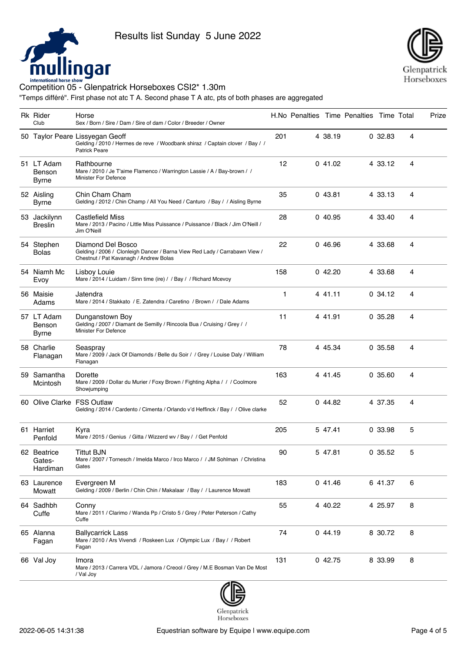



| <b>Rk Rider</b><br>Club              | Horse<br>Sex / Born / Sire / Dam / Sire of dam / Color / Breeder / Owner                                                                  |     |         | H.No Penalties Time Penalties Time Total |          |   | Prize |
|--------------------------------------|-------------------------------------------------------------------------------------------------------------------------------------------|-----|---------|------------------------------------------|----------|---|-------|
|                                      | 50 Taylor Peare Lissyegan Geoff<br>Gelding / 2010 / Hermes de reve / Woodbank shiraz / Captain clover / Bay / /<br><b>Patrick Peare</b>   | 201 | 4 38.19 |                                          | 0.32.83  | 4 |       |
| 51 LT Adam<br>Benson<br><b>Byrne</b> | Rathbourne<br>Mare / 2010 / Je T'aime Flamenco / Warrington Lassie / A / Bay-brown / /<br><b>Minister For Defence</b>                     | 12  | 041.02  |                                          | 4 33.12  | 4 |       |
| 52 Aisling<br><b>Byrne</b>           | Chin Cham Cham<br>Gelding / 2012 / Chin Champ / All You Need / Canturo / Bay / / Aisling Byrne                                            | 35  | 043.81  |                                          | 4 33.13  | 4 |       |
| 53 Jackilynn<br><b>Breslin</b>       | <b>Castlefield Miss</b><br>Mare / 2013 / Pacino / Little Miss Puissance / Puissance / Black / Jim O'Neill /<br>Jim O'Neill                | 28  | 0 40.95 |                                          | 4 33.40  | 4 |       |
| 54 Stephen<br><b>Bolas</b>           | Diamond Del Bosco<br>Gelding / 2006 / Clonleigh Dancer / Barna View Red Lady / Carrabawn View /<br>Chestnut / Pat Kavanagh / Andrew Bolas | 22  | 046.96  |                                          | 4 33.68  | 4 |       |
| 54 Niamh Mc<br>Evoy                  | Lisboy Louie<br>Mare / 2014 / Luidam / Sinn time (ire) / / Bay / / Richard Mcevoy                                                         | 158 | 042.20  |                                          | 4 33.68  | 4 |       |
| 56 Maisie<br>Adams                   | Jatendra<br>Mare / 2014 / Stakkato / E. Zatendra / Caretino / Brown / / Dale Adams                                                        | 1   | 4 41.11 |                                          | 0.34.12  | 4 |       |
| 57 LT Adam<br>Benson<br><b>Byrne</b> | Dunganstown Boy<br>Gelding / 2007 / Diamant de Semilly / Rincoola Bua / Cruising / Grey / /<br><b>Minister For Defence</b>                | 11  | 4 41.91 |                                          | 0.35.28  | 4 |       |
| 58 Charlie<br>Flanagan               | Seaspray<br>Mare / 2009 / Jack Of Diamonds / Belle du Soir / / Grey / Louise Daly / William<br>Flanagan                                   | 78  | 4 45.34 |                                          | 0.35.58  | 4 |       |
| 59 Samantha<br>Mcintosh              | Dorette<br>Mare / 2009 / Dollar du Murier / Foxy Brown / Fighting Alpha / / / Coolmore<br>Showjumping                                     | 163 | 4 41.45 |                                          | 0, 35.60 | 4 |       |
| 60 Olive Clarke FSS Outlaw           | Gelding / 2014 / Cardento / Cimenta / Orlando v'd Heffinck / Bay / / Olive clarke                                                         | 52  | 044.82  |                                          | 4 37.35  | 4 |       |
| 61 Harriet<br>Penfold                | Kyra<br>Mare / 2015 / Genius / Gitta / Wizzerd wv / Bay / / Get Penfold                                                                   | 205 | 5 47.41 |                                          | 0.33.98  | 5 |       |
| 62 Beatrice<br>Gates-<br>Hardiman    | <b>Tittut BJN</b><br>Mare / 2007 / Tornesch / Imelda Marco / Irco Marco / / JM Sohlman / Christina<br>Gates                               | 90  | 5 47.81 |                                          | 0.35.52  | 5 |       |
| 63 Laurence<br>Mowatt                | Evergreen M<br>Gelding / 2009 / Berlin / Chin Chin / Makalaar / Bay / / Laurence Mowatt                                                   | 183 | 041.46  |                                          | 6 41.37  | 6 |       |
| 64 Sadhbh<br>Cuffe                   | Conny<br>Mare / 2011 / Clarimo / Wanda Pp / Cristo 5 / Grey / Peter Peterson / Cathy<br>Cuffe                                             | 55  | 4 40.22 |                                          | 4 25.97  | 8 |       |
| 65 Alanna<br>Fagan                   | <b>Ballycarrick Lass</b><br>Mare / 2010 / Ars Vivendi / Roskeen Lux / Olympic Lux / Bay / / Robert<br>Fagan                               | 74  | 044.19  |                                          | 8 30.72  | 8 |       |
| 66 Val Joy                           | Imora<br>Mare / 2013 / Carrera VDL / Jamora / Creool / Grey / M.E Bosman Van De Most<br>/ Val Joy                                         | 131 | 042.75  |                                          | 8 33.99  | 8 |       |



Horseboxes